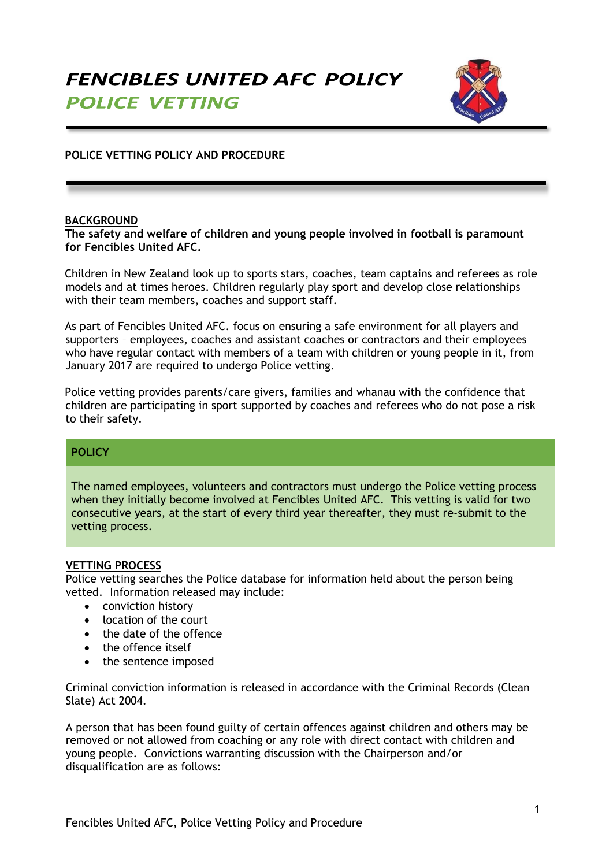

# **POLICE VETTING POLICY AND PROCEDURE**

### **BACKGROUND**

#### **The safety and welfare of children and young people involved in football is paramount for Fencibles United AFC.**

Children in New Zealand look up to sports stars, coaches, team captains and referees as role models and at times heroes. Children regularly play sport and develop close relationships with their team members, coaches and support staff.

As part of Fencibles United AFC. focus on ensuring a safe environment for all players and supporters – employees, coaches and assistant coaches or contractors and their employees who have regular contact with members of a team with children or young people in it, from January 2017 are required to undergo Police vetting.

Police vetting provides parents/care givers, families and whanau with the confidence that children are participating in sport supported by coaches and referees who do not pose a risk to their safety.

## **POLICY**

The named employees, volunteers and contractors must undergo the Police vetting process when they initially become involved at Fencibles United AFC. This vetting is valid for two consecutive years, at the start of every third year thereafter, they must re-submit to the vetting process.

### **VETTING PROCESS**

Police vetting searches the Police database for information held about the person being vetted. Information released may include:

- conviction history
- location of the court
- the date of the offence
- the offence itself
- the sentence imposed

Criminal conviction information is released in accordance with the Criminal Records (Clean Slate) Act 2004.

A person that has been found guilty of certain offences against children and others may be removed or not allowed from coaching or any role with direct contact with children and young people. Convictions warranting discussion with the Chairperson and/or disqualification are as follows: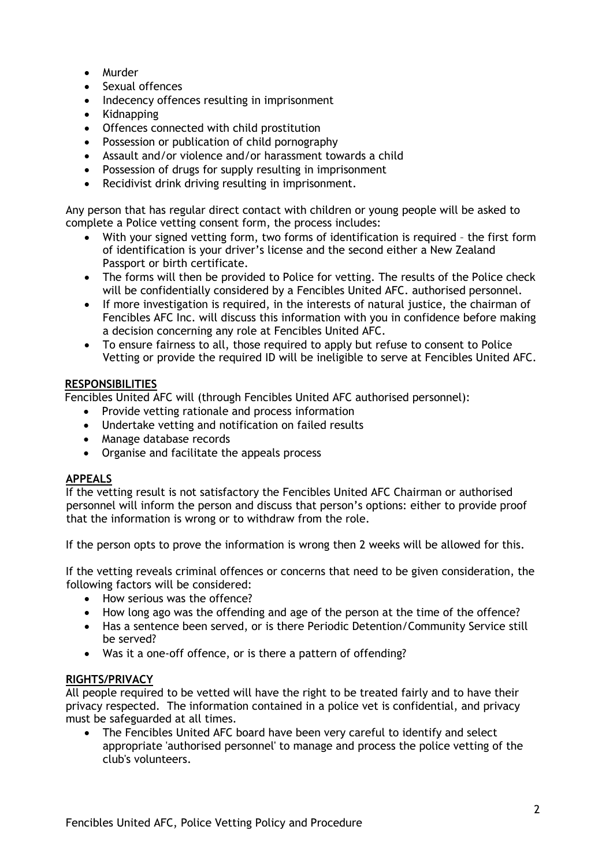- Murder
- Sexual offences
- Indecency offences resulting in imprisonment
- Kidnapping
- Offences connected with child prostitution
- Possession or publication of child pornography
- Assault and/or violence and/or harassment towards a child
- Possession of drugs for supply resulting in imprisonment
- Recidivist drink driving resulting in imprisonment.

Any person that has regular direct contact with children or young people will be asked to complete a Police vetting consent form, the process includes:

- With your signed vetting form, two forms of identification is required the first form of identification is your driver's license and the second either a New Zealand Passport or birth certificate.
- The forms will then be provided to Police for vetting. The results of the Police check will be confidentially considered by a Fencibles United AFC. authorised personnel.
- If more investigation is required, in the interests of natural justice, the chairman of Fencibles AFC Inc. will discuss this information with you in confidence before making a decision concerning any role at Fencibles United AFC.
- To ensure fairness to all, those required to apply but refuse to consent to Police Vetting or provide the required ID will be ineligible to serve at Fencibles United AFC.

### **RESPONSIBILITIES**

Fencibles United AFC will (through Fencibles United AFC authorised personnel):

- Provide vetting rationale and process information
- Undertake vetting and notification on failed results
- Manage database records
- Organise and facilitate the appeals process

## **APPEALS**

If the vetting result is not satisfactory the Fencibles United AFC Chairman or authorised personnel will inform the person and discuss that person's options: either to provide proof that the information is wrong or to withdraw from the role.

If the person opts to prove the information is wrong then 2 weeks will be allowed for this.

If the vetting reveals criminal offences or concerns that need to be given consideration, the following factors will be considered:

- How serious was the offence?
- How long ago was the offending and age of the person at the time of the offence?
- Has a sentence been served, or is there Periodic Detention/Community Service still be served?
- Was it a one-off offence, or is there a pattern of offending?

### **RIGHTS/PRIVACY**

All people required to be vetted will have the right to be treated fairly and to have their privacy respected. The information contained in a police vet is confidential, and privacy must be safeguarded at all times.

 The Fencibles United AFC board have been very careful to identify and select appropriate 'authorised personnel' to manage and process the police vetting of the club's volunteers.